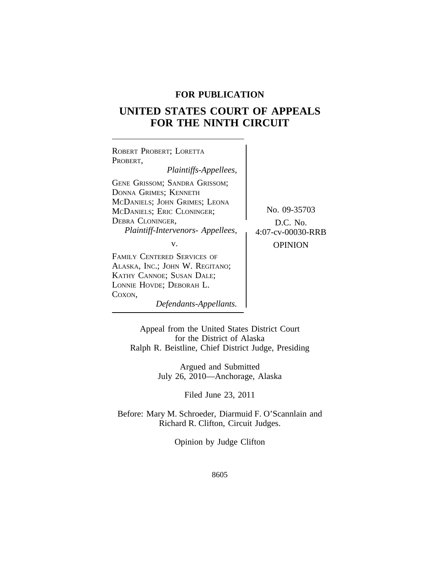# **FOR PUBLICATION**

# **UNITED STATES COURT OF APPEALS FOR THE NINTH CIRCUIT**

<sup>R</sup>OBERT PROBERT; LORETTA PROBERT, *Plaintiffs-Appellees,* GENE GRISSOM; SANDRA GRISSOM; DONNA GRIMES; KENNETH MCDANIELS; JOHN GRIMES; LEONA McDANIELS; ERIC CLONINGER; No. 09-35703 DEBRA CLONINGER, SOLOMONIC SCHOOL CONTROL D.C. No. *Plaintiff-Intervenors- Appellees,* 4:07-cv-00030-RRB v. **DESPITE OPINION** FAMILY CENTERED SERVICES OF ALASKA, INC.; JOHN W. REGITANO; KATHY CANNOE; SUSAN DALE; LONNIE HOVDE; DEBORAH L.

COXON, *Defendants-Appellants.*

Appeal from the United States District Court for the District of Alaska Ralph R. Beistline, Chief District Judge, Presiding

> Argued and Submitted July 26, 2010—Anchorage, Alaska

> > Filed June 23, 2011

Before: Mary M. Schroeder, Diarmuid F. O'Scannlain and Richard R. Clifton, Circuit Judges.

Opinion by Judge Clifton

8605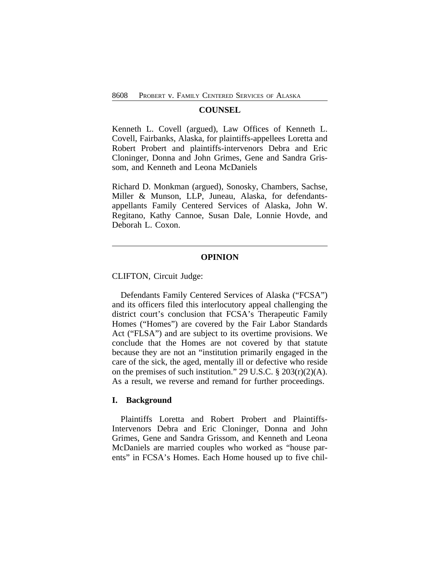#### **COUNSEL**

Kenneth L. Covell (argued), Law Offices of Kenneth L. Covell, Fairbanks, Alaska, for plaintiffs-appellees Loretta and Robert Probert and plaintiffs-intervenors Debra and Eric Cloninger, Donna and John Grimes, Gene and Sandra Grissom, and Kenneth and Leona McDaniels

Richard D. Monkman (argued), Sonosky, Chambers, Sachse, Miller & Munson, LLP, Juneau, Alaska, for defendantsappellants Family Centered Services of Alaska, John W. Regitano, Kathy Cannoe, Susan Dale, Lonnie Hovde, and Deborah L. Coxon.

## **OPINION**

CLIFTON, Circuit Judge:

Defendants Family Centered Services of Alaska ("FCSA") and its officers filed this interlocutory appeal challenging the district court's conclusion that FCSA's Therapeutic Family Homes ("Homes") are covered by the Fair Labor Standards Act ("FLSA") and are subject to its overtime provisions. We conclude that the Homes are not covered by that statute because they are not an "institution primarily engaged in the care of the sick, the aged, mentally ill or defective who reside on the premises of such institution." 29 U.S.C. § 203(r)(2)(A). As a result, we reverse and remand for further proceedings.

#### **I. Background**

Plaintiffs Loretta and Robert Probert and Plaintiffs-Intervenors Debra and Eric Cloninger, Donna and John Grimes, Gene and Sandra Grissom, and Kenneth and Leona McDaniels are married couples who worked as "house parents" in FCSA's Homes. Each Home housed up to five chil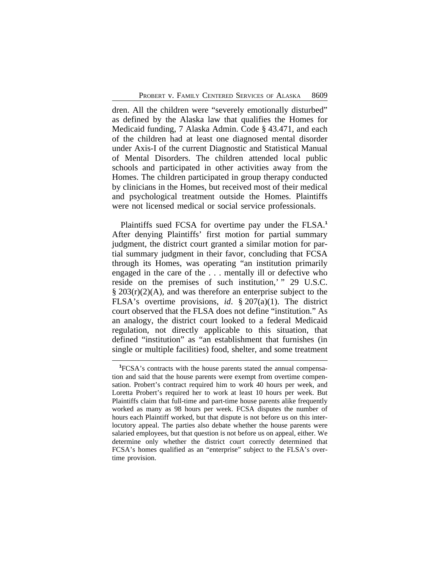dren. All the children were "severely emotionally disturbed" as defined by the Alaska law that qualifies the Homes for Medicaid funding, 7 Alaska Admin. Code § 43.471, and each of the children had at least one diagnosed mental disorder under Axis-I of the current Diagnostic and Statistical Manual of Mental Disorders. The children attended local public schools and participated in other activities away from the Homes. The children participated in group therapy conducted by clinicians in the Homes, but received most of their medical and psychological treatment outside the Homes. Plaintiffs were not licensed medical or social service professionals.

Plaintiffs sued FCSA for overtime pay under the FLSA.**<sup>1</sup>** After denying Plaintiffs' first motion for partial summary judgment, the district court granted a similar motion for partial summary judgment in their favor, concluding that FCSA through its Homes, was operating "an institution primarily engaged in the care of the . . . mentally ill or defective who reside on the premises of such institution,' " 29 U.S.C.  $\S 203(r)(2)(A)$ , and was therefore an enterprise subject to the FLSA's overtime provisions, *id*. § 207(a)(1). The district court observed that the FLSA does not define "institution." As an analogy, the district court looked to a federal Medicaid regulation, not directly applicable to this situation, that defined "institution" as "an establishment that furnishes (in single or multiple facilities) food, shelter, and some treatment

**<sup>1</sup>**FCSA's contracts with the house parents stated the annual compensation and said that the house parents were exempt from overtime compensation. Probert's contract required him to work 40 hours per week, and Loretta Probert's required her to work at least 10 hours per week. But Plaintiffs claim that full-time and part-time house parents alike frequently worked as many as 98 hours per week. FCSA disputes the number of hours each Plaintiff worked, but that dispute is not before us on this interlocutory appeal. The parties also debate whether the house parents were salaried employees, but that question is not before us on appeal, either. We determine only whether the district court correctly determined that FCSA's homes qualified as an "enterprise" subject to the FLSA's overtime provision.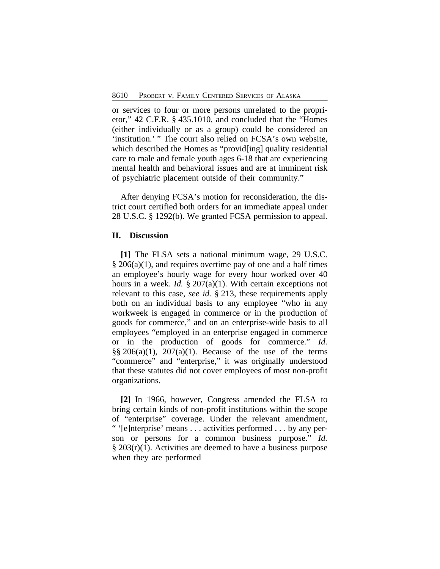or services to four or more persons unrelated to the proprietor," 42 C.F.R. § 435.1010, and concluded that the "Homes (either individually or as a group) could be considered an 'institution.' " The court also relied on FCSA's own website, which described the Homes as "provid[ing] quality residential care to male and female youth ages 6-18 that are experiencing mental health and behavioral issues and are at imminent risk of psychiatric placement outside of their community."

After denying FCSA's motion for reconsideration, the district court certified both orders for an immediate appeal under 28 U.S.C. § 1292(b). We granted FCSA permission to appeal.

### **II. Discussion**

**[1]** The FLSA sets a national minimum wage, 29 U.S.C.  $§$  206(a)(1), and requires overtime pay of one and a half times an employee's hourly wage for every hour worked over 40 hours in a week. *Id.* § 207(a)(1). With certain exceptions not relevant to this case, *see id.* § 213, these requirements apply both on an individual basis to any employee "who in any workweek is engaged in commerce or in the production of goods for commerce," and on an enterprise-wide basis to all employees "employed in an enterprise engaged in commerce or in the production of goods for commerce." *Id.*  $\S$ § 206(a)(1), 207(a)(1). Because of the use of the terms "commerce" and "enterprise," it was originally understood that these statutes did not cover employees of most non-profit organizations.

**[2]** In 1966, however, Congress amended the FLSA to bring certain kinds of non-profit institutions within the scope of "enterprise" coverage. Under the relevant amendment, " '[e]nterprise' means . . . activities performed . . . by any person or persons for a common business purpose." *Id.* § 203(r)(1). Activities are deemed to have a business purpose when they are performed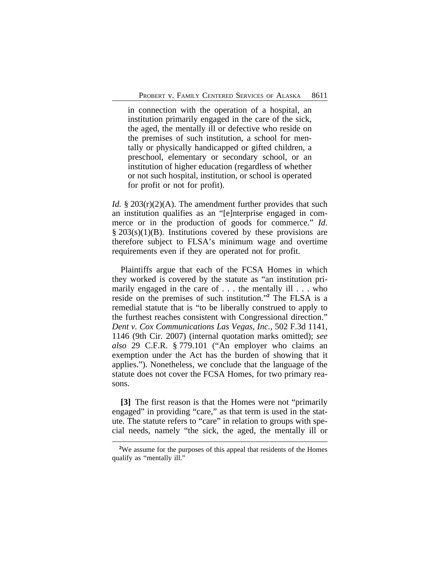in connection with the operation of a hospital, an institution primarily engaged in the care of the sick, the aged, the mentally ill or defective who reside on the premises of such institution, a school for mentally or physically handicapped or gifted children, a preschool, elementary or secondary school, or an institution of higher education (regardless of whether or not such hospital, institution, or school is operated for profit or not for profit).

*Id.* § 203(r)(2)(A). The amendment further provides that such an institution qualifies as an "[e]nterprise engaged in commerce or in the production of goods for commerce." *Id.*  $\S 203(s)(1)(B)$ . Institutions covered by these provisions are therefore subject to FLSA's minimum wage and overtime requirements even if they are operated not for profit.

Plaintiffs argue that each of the FCSA Homes in which they worked is covered by the statute as "an institution primarily engaged in the care of . . . the mentally ill . . . who reside on the premises of such institution." **2** The FLSA is a remedial statute that is "to be liberally construed to apply to the furthest reaches consistent with Congressional direction." *Dent v. Cox Communications Las Vegas, Inc.*, 502 F.3d 1141, 1146 (9th Cir. 2007) (internal quotation marks omitted); *see also* 29 C.F.R. § 779.101 ("An employer who claims an exemption under the Act has the burden of showing that it applies."). Nonetheless, we conclude that the language of the statute does not cover the FCSA Homes, for two primary reasons.

**[3]** The first reason is that the Homes were not "primarily engaged" in providing "care," as that term is used in the statute. The statute refers to "care" in relation to groups with special needs, namely "the sick, the aged, the mentally ill or

**<sup>2</sup>**We assume for the purposes of this appeal that residents of the Homes qualify as "mentally ill."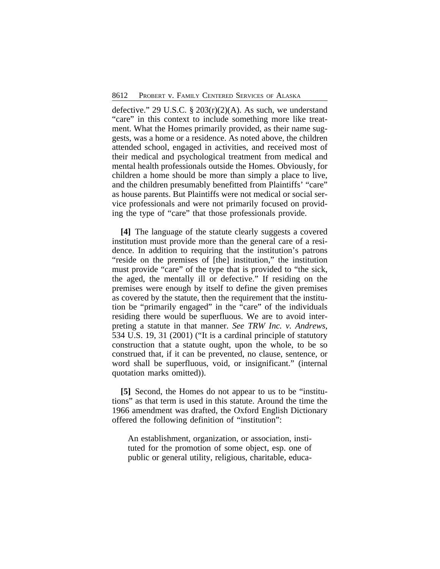defective." 29 U.S.C.  $\S$  203(r)(2)(A). As such, we understand "care" in this context to include something more like treatment. What the Homes primarily provided, as their name suggests, was a home or a residence. As noted above, the children attended school, engaged in activities, and received most of their medical and psychological treatment from medical and mental health professionals outside the Homes. Obviously, for children a home should be more than simply a place to live, and the children presumably benefitted from Plaintiffs' "care" as house parents. But Plaintiffs were not medical or social service professionals and were not primarily focused on providing the type of "care" that those professionals provide.

**[4]** The language of the statute clearly suggests a covered institution must provide more than the general care of a residence. In addition to requiring that the institution's patrons "reside on the premises of [the] institution," the institution must provide "care" of the type that is provided to "the sick, the aged, the mentally ill or defective." If residing on the premises were enough by itself to define the given premises as covered by the statute, then the requirement that the institution be "primarily engaged" in the "care" of the individuals residing there would be superfluous. We are to avoid interpreting a statute in that manner. *See TRW Inc. v. Andrews*, 534 U.S. 19, 31 (2001) ("It is a cardinal principle of statutory construction that a statute ought, upon the whole, to be so construed that, if it can be prevented, no clause, sentence, or word shall be superfluous, void, or insignificant." (internal quotation marks omitted)).

**[5]** Second, the Homes do not appear to us to be "institutions" as that term is used in this statute. Around the time the 1966 amendment was drafted, the Oxford English Dictionary offered the following definition of "institution":

An establishment, organization, or association, instituted for the promotion of some object, esp. one of public or general utility, religious, charitable, educa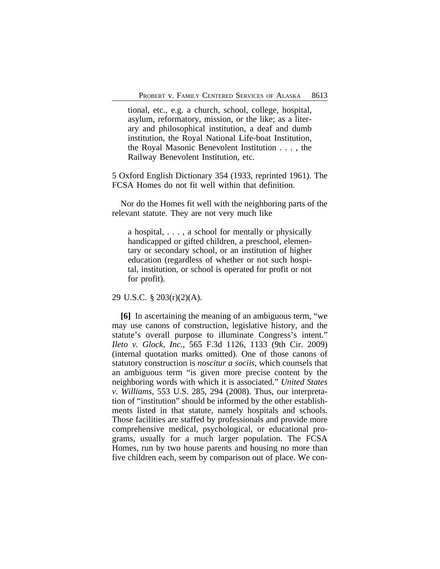tional, etc., e.g. a church, school, college, hospital, asylum, reformatory, mission, or the like; as a literary and philosophical institution, a deaf and dumb institution, the Royal National Life-boat Institution, the Royal Masonic Benevolent Institution . . . , the Railway Benevolent Institution, etc.

5 Oxford English Dictionary 354 (1933, reprinted 1961). The FCSA Homes do not fit well within that definition.

Nor do the Homes fit well with the neighboring parts of the relevant statute. They are not very much like

a hospital, . . . , a school for mentally or physically handicapped or gifted children, a preschool, elementary or secondary school, or an institution of higher education (regardless of whether or not such hospital, institution, or school is operated for profit or not for profit).

29 U.S.C. § 203(r)(2)(A).

**[6]** In ascertaining the meaning of an ambiguous term, "we may use canons of construction, legislative history, and the statute's overall purpose to illuminate Congress's intent." *Ileto v. Glock, Inc.*, 565 F.3d 1126, 1133 (9th Cir. 2009) (internal quotation marks omitted). One of those canons of statutory construction is *noscitur a sociis*, which counsels that an ambiguous term "is given more precise content by the neighboring words with which it is associated." *United States v. Williams*, 553 U.S. 285, 294 (2008). Thus, our interpretation of "institution" should be informed by the other establishments listed in that statute, namely hospitals and schools. Those facilities are staffed by professionals and provide more comprehensive medical, psychological, or educational programs, usually for a much larger population. The FCSA Homes, run by two house parents and housing no more than five children each, seem by comparison out of place. We con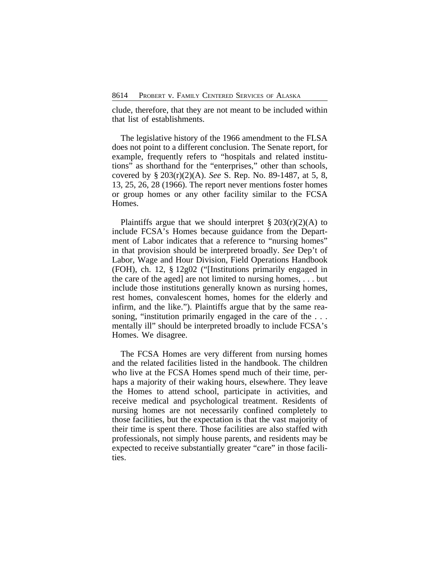clude, therefore, that they are not meant to be included within that list of establishments.

The legislative history of the 1966 amendment to the FLSA does not point to a different conclusion. The Senate report, for example, frequently refers to "hospitals and related institutions" as shorthand for the "enterprises," other than schools, covered by § 203(r)(2)(A). *See* S. Rep. No. 89-1487, at 5, 8, 13, 25, 26, 28 (1966). The report never mentions foster homes or group homes or any other facility similar to the FCSA Homes.

Plaintiffs argue that we should interpret  $\S 203(r)(2)$ (A) to include FCSA's Homes because guidance from the Department of Labor indicates that a reference to "nursing homes" in that provision should be interpreted broadly. *See* Dep't of Labor, Wage and Hour Division, Field Operations Handbook (FOH), ch. 12, § 12g02 ("[Institutions primarily engaged in the care of the aged] are not limited to nursing homes, . . . but include those institutions generally known as nursing homes, rest homes, convalescent homes, homes for the elderly and infirm, and the like."). Plaintiffs argue that by the same reasoning, "institution primarily engaged in the care of the ... mentally ill" should be interpreted broadly to include FCSA's Homes. We disagree.

The FCSA Homes are very different from nursing homes and the related facilities listed in the handbook. The children who live at the FCSA Homes spend much of their time, perhaps a majority of their waking hours, elsewhere. They leave the Homes to attend school, participate in activities, and receive medical and psychological treatment. Residents of nursing homes are not necessarily confined completely to those facilities, but the expectation is that the vast majority of their time is spent there. Those facilities are also staffed with professionals, not simply house parents, and residents may be expected to receive substantially greater "care" in those facilities.